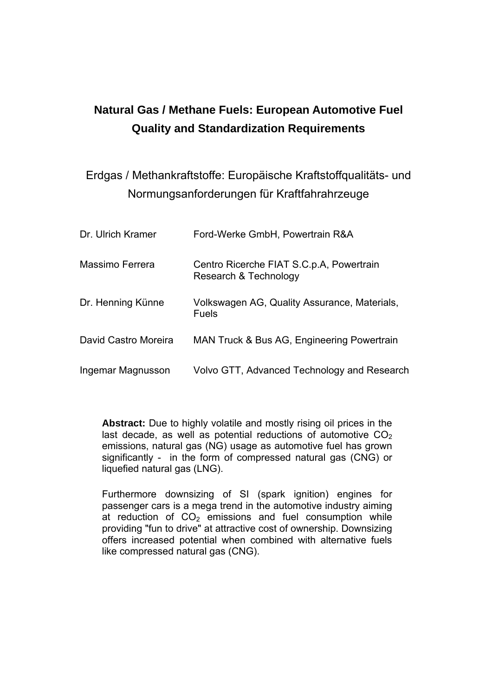# **Natural Gas / Methane Fuels: European Automotive Fuel Quality and Standardization Requirements**

## Erdgas / Methankraftstoffe: Europäische Kraftstoffqualitäts- und Normungsanforderungen für Kraftfahrahrzeuge

| Dr. Ulrich Kramer    | Ford-Werke GmbH, Powertrain R&A                                   |
|----------------------|-------------------------------------------------------------------|
| Massimo Ferrera      | Centro Ricerche FIAT S.C.p.A, Powertrain<br>Research & Technology |
| Dr. Henning Künne    | Volkswagen AG, Quality Assurance, Materials,<br><b>Fuels</b>      |
| David Castro Moreira | MAN Truck & Bus AG, Engineering Powertrain                        |
| Ingemar Magnusson    | Volvo GTT, Advanced Technology and Research                       |

**Abstract:** Due to highly volatile and mostly rising oil prices in the last decade, as well as potential reductions of automotive  $CO<sub>2</sub>$ emissions, natural gas (NG) usage as automotive fuel has grown significantly - in the form of compressed natural gas (CNG) or liquefied natural gas (LNG).

Furthermore downsizing of SI (spark ignition) engines for passenger cars is a mega trend in the automotive industry aiming at reduction of  $CO<sub>2</sub>$  emissions and fuel consumption while providing "fun to drive" at attractive cost of ownership. Downsizing offers increased potential when combined with alternative fuels like compressed natural gas (CNG).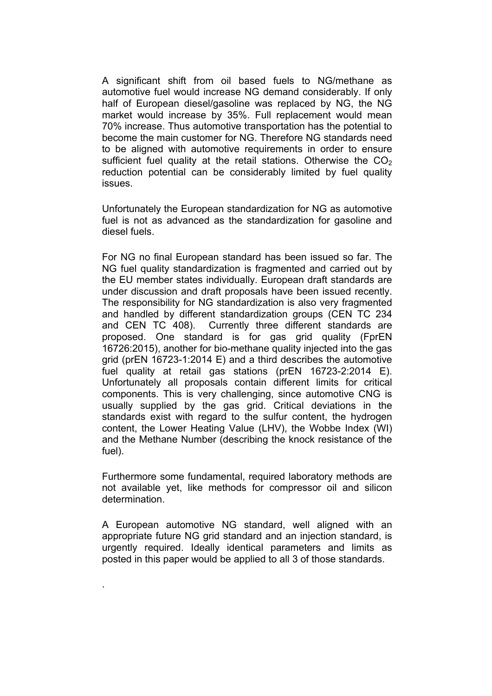A significant shift from oil based fuels to NG/methane as automotive fuel would increase NG demand considerably. If only half of European diesel/gasoline was replaced by NG, the NG market would increase by 35%. Full replacement would mean 70% increase. Thus automotive transportation has the potential to become the main customer for NG. Therefore NG standards need to be aligned with automotive requirements in order to ensure sufficient fuel quality at the retail stations. Otherwise the  $CO<sub>2</sub>$ reduction potential can be considerably limited by fuel quality issues.

Unfortunately the European standardization for NG as automotive fuel is not as advanced as the standardization for gasoline and diesel fuels.

For NG no final European standard has been issued so far. The NG fuel quality standardization is fragmented and carried out by the EU member states individually. European draft standards are under discussion and draft proposals have been issued recently. The responsibility for NG standardization is also very fragmented and handled by different standardization groups (CEN TC 234 and CEN TC 408). Currently three different standards are proposed. One standard is for gas grid quality (FprEN 16726:2015), another for bio-methane quality injected into the gas grid (prEN 16723-1:2014 E) and a third describes the automotive fuel quality at retail gas stations (prEN 16723-2:2014 E). Unfortunately all proposals contain different limits for critical components. This is very challenging, since automotive CNG is usually supplied by the gas grid. Critical deviations in the standards exist with regard to the sulfur content, the hydrogen content, the Lower Heating Value (LHV), the Wobbe Index (WI) and the Methane Number (describing the knock resistance of the fuel).

Furthermore some fundamental, required laboratory methods are not available yet, like methods for compressor oil and silicon determination.

A European automotive NG standard, well aligned with an appropriate future NG grid standard and an injection standard, is urgently required. Ideally identical parameters and limits as posted in this paper would be applied to all 3 of those standards.

.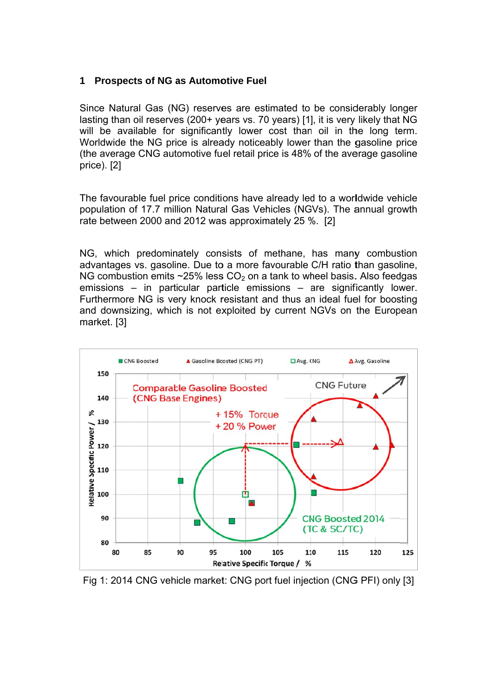#### **1 Prospects of NG as Automotive Fuel**

Since Natural Gas (NG) reserves are estimated to be considerably longer lasting than oil reserves (200+ years vs. 70 years) [1], it is very likely that NG will be available for significantly lower cost than oil in the long term. Worldwide the NG price is already noticeably lower than the gasoline price (the average CNG automotive fuel retail price is 48% of the average gasoline pr ice). [2]

The favourable fuel price conditions have already led to a worldwide vehicle population of 17.7 million Natural Gas Vehicles (NGVs). The annual growth rate between 2000 and 2012 was approximately 25 %. [2]

NG, which predominately consists of methane, has many combustion advantages vs. gasoline. Due to a more favourable C/H ratio than gasoline, NG combustion emits  $\sim$ 25% less CO<sub>2</sub> on a tank to wheel basis. Also feedgas emissions – in particular particle emissions – are significantly lower. Furthermore NG is very knock resistant and thus an ideal fuel for boosting and downsizing, which is not exploited by current NGVs on the European market. [3]



Fig 1: 2014 CNG vehicle market: CNG port fuel injection (CNG PFI) only [3]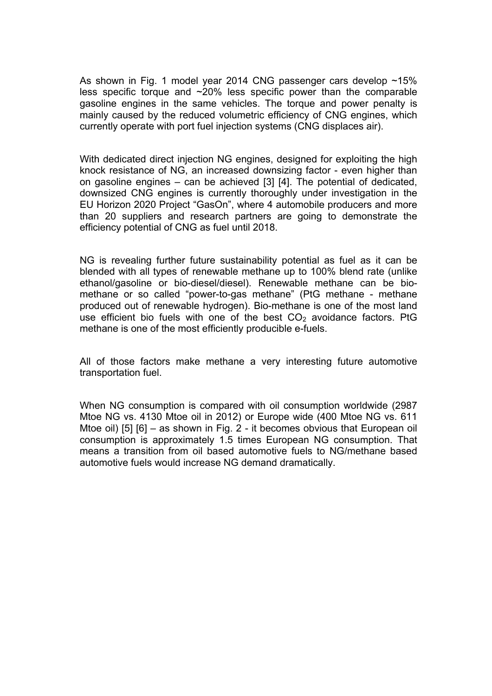As shown in Fig. 1 model year 2014 CNG passenger cars develop ~15% less specific torque and ~20% less specific power than the comparable gasoline engines in the same vehicles. The torque and power penalty is mainly caused by the reduced volumetric efficiency of CNG engines, which currently operate with port fuel injection systems (CNG displaces air).

With dedicated direct injection NG engines, designed for exploiting the high knock resistance of NG, an increased downsizing factor - even higher than on gasoline engines – can be achieved [3] [4]. The potential of dedicated, downsized CNG engines is currently thoroughly under investigation in the EU Horizon 2020 Project "GasOn", where 4 automobile producers and more than 20 suppliers and research partners are going to demonstrate the efficiency potential of CNG as fuel until 2018.

NG is revealing further future sustainability potential as fuel as it can be blended with all types of renewable methane up to 100% blend rate (unlike ethanol/gasoline or bio-diesel/diesel). Renewable methane can be biomethane or so called "power-to-gas methane" (PtG methane - methane produced out of renewable hydrogen). Bio-methane is one of the most land use efficient bio fuels with one of the best  $CO<sub>2</sub>$  avoidance factors. PtG methane is one of the most efficiently producible e-fuels.

All of those factors make methane a very interesting future automotive transportation fuel.

When NG consumption is compared with oil consumption worldwide (2987 Mtoe NG vs. 4130 Mtoe oil in 2012) or Europe wide (400 Mtoe NG vs. 611 Mtoe oil) [5] [6] – as shown in Fig. 2 - it becomes obvious that European oil consumption is approximately 1.5 times European NG consumption. That means a transition from oil based automotive fuels to NG/methane based automotive fuels would increase NG demand dramatically.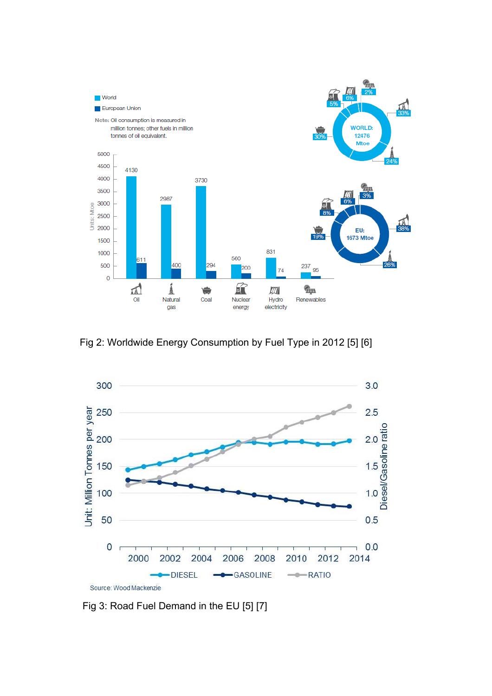

Fig 2: Worldwide Energy Consumption by Fuel Type in 2012 [5] [6]



Fig 3: Road Fuel Demand in the EU [5] [7]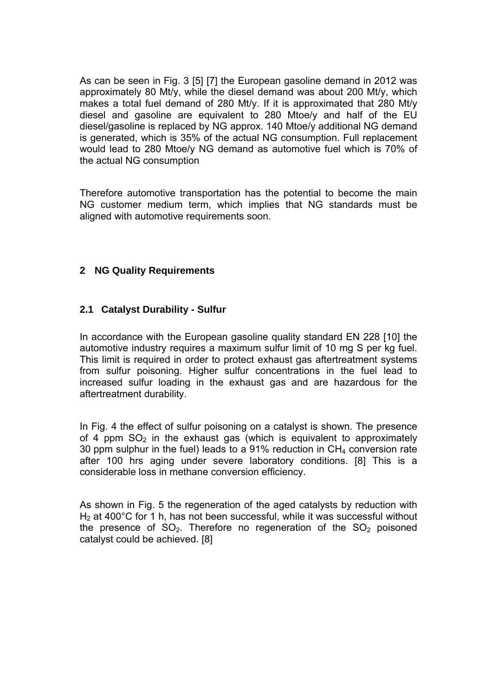As can be seen in Fig. 3 [5] [7] the European gasoline demand in 2012 was approximately 80 Mt/y, while the diesel demand was about 200 Mt/y, which makes a total fuel demand of 280 Mt/y. If it is approximated that 280 Mt/y diesel and gasoline are equivalent to 280 Mtoe/y and half of the EU diesel/gasoline is replaced by NG approx. 140 Mtoe/y additional NG demand is generated, which is 35% of the actual NG consumption. Full replacement would lead to 280 Mtoe/y NG demand as automotive fuel which is 70% of the actual NG consumption

Therefore automotive transportation has the potential to become the main NG customer medium term, which implies that NG standards must be aligned with automotive requirements soon.

#### **2 NG Quality Requirements**

#### **2.1 Catalyst Durability - Sulfur**

In accordance with the European gasoline quality standard EN 228 [10] the automotive industry requires a maximum sulfur limit of 10 mg S per kg fuel. This limit is required in order to protect exhaust gas aftertreatment systems from sulfur poisoning. Higher sulfur concentrations in the fuel lead to increased sulfur loading in the exhaust gas and are hazardous for the aftertreatment durability.

In Fig. 4 the effect of sulfur poisoning on a catalyst is shown. The presence of 4 ppm  $SO<sub>2</sub>$  in the exhaust gas (which is equivalent to approximately 30 ppm sulphur in the fuel) leads to a 91% reduction in  $CH<sub>4</sub>$  conversion rate after 100 hrs aging under severe laboratory conditions. [8] This is a considerable loss in methane conversion efficiency.

As shown in Fig. 5 the regeneration of the aged catalysts by reduction with  $H<sub>2</sub>$  at 400°C for 1 h, has not been successful, while it was successful without the presence of  $SO_2$ . Therefore no regeneration of the  $SO_2$  poisoned catalyst could be achieved. [8]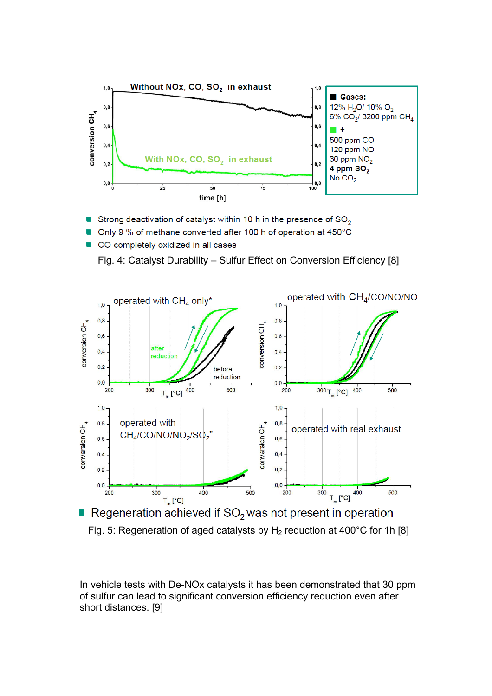

- Strong deactivation of catalyst within 10 h in the presence of  $SO_2$
- Only 9 % of methane converted after 100 h of operation at 450°C
- CO completely oxidized in all cases  $\blacksquare$





Regeneration achieved if  $SO<sub>2</sub>$  was not present in operation

Fig. 5: Regeneration of aged catalysts by  $H_2$  reduction at 400°C for 1h [8]

In vehicle tests with De-NOx catalysts it has been demonstrated that 30 ppm of sulfur can lead to significant conversion efficiency reduction even after short distances. [9]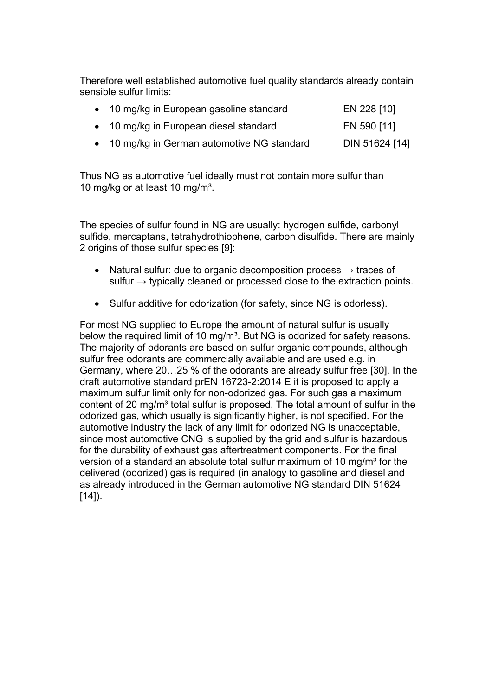Therefore well established automotive fuel quality standards already contain sensible sulfur limits:

| • 10 mg/kg in European gasoline standard | EN 228 [10] |
|------------------------------------------|-------------|
| • 10 mg/kg in European diesel standard   | EN 590 [11] |

• 10 mg/kg in German automotive NG standard DIN 51624 [14]

Thus NG as automotive fuel ideally must not contain more sulfur than 10 mg/kg or at least 10 mg/m<sup>3</sup>.

The species of sulfur found in NG are usually: hydrogen sulfide, carbonyl sulfide, mercaptans, tetrahydrothiophene, carbon disulfide. There are mainly 2 origins of those sulfur species [9]:

- Natural sulfur: due to organic decomposition process  $\rightarrow$  traces of sulfur  $\rightarrow$  typically cleaned or processed close to the extraction points.
- Sulfur additive for odorization (for safety, since NG is odorless).

For most NG supplied to Europe the amount of natural sulfur is usually below the required limit of 10 mg/m<sup>3</sup>. But NG is odorized for safety reasons. The majority of odorants are based on sulfur organic compounds, although sulfur free odorants are commercially available and are used e.g. in Germany, where 20…25 % of the odorants are already sulfur free [30]. In the draft automotive standard prEN 16723-2:2014 E it is proposed to apply a maximum sulfur limit only for non-odorized gas. For such gas a maximum content of 20 mg/m<sup>3</sup> total sulfur is proposed. The total amount of sulfur in the odorized gas, which usually is significantly higher, is not specified. For the automotive industry the lack of any limit for odorized NG is unacceptable, since most automotive CNG is supplied by the grid and sulfur is hazardous for the durability of exhaust gas aftertreatment components. For the final version of a standard an absolute total sulfur maximum of 10 mg/m<sup>3</sup> for the delivered (odorized) gas is required (in analogy to gasoline and diesel and as already introduced in the German automotive NG standard DIN 51624  $[14]$ ).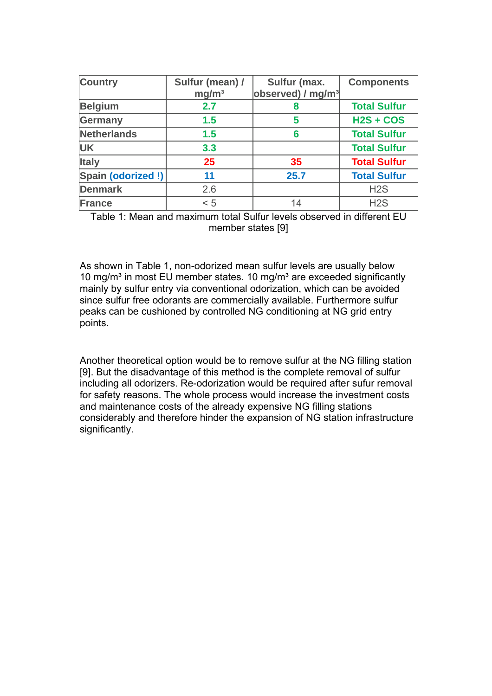| <b>Country</b>    | Sulfur (mean) /   | Sulfur (max.                  | <b>Components</b>   |
|-------------------|-------------------|-------------------------------|---------------------|
|                   | mg/m <sup>3</sup> | observed) / mg/m <sup>3</sup> |                     |
| <b>Belgium</b>    | 2.7               | 8                             | <b>Total Sulfur</b> |
| Germany           | 1.5               | 5                             | $H2S + COS$         |
| Netherlands       | 1.5               | 6                             | <b>Total Sulfur</b> |
| <b>UK</b>         | 3.3               |                               | <b>Total Sulfur</b> |
| <b>Italy</b>      | 25                | 35                            | <b>Total Sulfur</b> |
| Spain (odorized!) | 11                | 25.7                          | <b>Total Sulfur</b> |
| <b>Denmark</b>    | 2.6               |                               | H <sub>2</sub> S    |
| France            | < 5               | 14                            | H2S                 |

Table 1: Mean and maximum total Sulfur levels observed in different EU member states [9]

As shown in Table 1, non-odorized mean sulfur levels are usually below 10 mg/m<sup>3</sup> in most EU member states. 10 mg/m<sup>3</sup> are exceeded significantly mainly by sulfur entry via conventional odorization, which can be avoided since sulfur free odorants are commercially available. Furthermore sulfur peaks can be cushioned by controlled NG conditioning at NG grid entry points.

Another theoretical option would be to remove sulfur at the NG filling station [9]. But the disadvantage of this method is the complete removal of sulfur including all odorizers. Re-odorization would be required after sufur removal for safety reasons. The whole process would increase the investment costs and maintenance costs of the already expensive NG filling stations considerably and therefore hinder the expansion of NG station infrastructure significantly.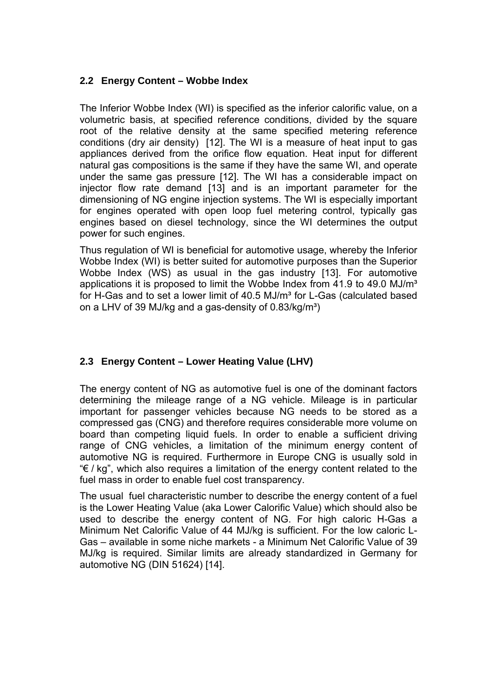#### **2.2 Energy Content – Wobbe Index**

The Inferior Wobbe Index (WI) is specified as the inferior calorific value, on a volumetric basis, at specified reference conditions, divided by the square root of the relative density at the same specified metering reference conditions (dry air density) [12]. The WI is a measure of heat input to gas appliances derived from the orifice flow equation. Heat input for different natural gas compositions is the same if they have the same WI, and operate under the same gas pressure [12]. The WI has a considerable impact on injector flow rate demand [13] and is an important parameter for the dimensioning of NG engine injection systems. The WI is especially important for engines operated with open loop fuel metering control, typically gas engines based on diesel technology, since the WI determines the output power for such engines.

Thus regulation of WI is beneficial for automotive usage, whereby the Inferior Wobbe Index (WI) is better suited for automotive purposes than the Superior Wobbe Index (WS) as usual in the gas industry [13]. For automotive applications it is proposed to limit the Wobbe Index from  $41.9$  to  $49.0$  MJ/m<sup>3</sup> for H-Gas and to set a lower limit of 40.5 MJ/m<sup>3</sup> for L-Gas (calculated based on a LHV of 39 MJ/kg and a gas-density of  $0.83/kg/m<sup>3</sup>$ )

## **2.3 Energy Content – Lower Heating Value (LHV)**

The energy content of NG as automotive fuel is one of the dominant factors determining the mileage range of a NG vehicle. Mileage is in particular important for passenger vehicles because NG needs to be stored as a compressed gas (CNG) and therefore requires considerable more volume on board than competing liquid fuels. In order to enable a sufficient driving range of CNG vehicles, a limitation of the minimum energy content of automotive NG is required. Furthermore in Europe CNG is usually sold in "€ / kg", which also requires a limitation of the energy content related to the fuel mass in order to enable fuel cost transparency.

The usual fuel characteristic number to describe the energy content of a fuel is the Lower Heating Value (aka Lower Calorific Value) which should also be used to describe the energy content of NG. For high caloric H-Gas a Minimum Net Calorific Value of 44 MJ/kg is sufficient. For the low caloric L-Gas – available in some niche markets - a Minimum Net Calorific Value of 39 MJ/kg is required. Similar limits are already standardized in Germany for automotive NG (DIN 51624) [14].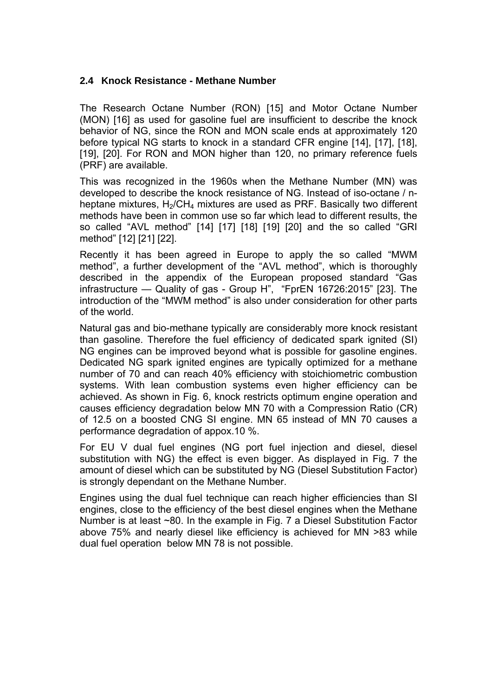#### **2.4 Knock Resistance - Methane Number**

The Research Octane Number (RON) [15] and Motor Octane Number (MON) [16] as used for gasoline fuel are insufficient to describe the knock behavior of NG, since the RON and MON scale ends at approximately 120 before typical NG starts to knock in a standard CFR engine [14], [17], [18], [19], [20]. For RON and MON higher than 120, no primary reference fuels (PRF) are available.

This was recognized in the 1960s when the Methane Number (MN) was developed to describe the knock resistance of NG. Instead of iso-octane / nheptane mixtures,  $H_2$ /CH<sub>4</sub> mixtures are used as PRF. Basically two different methods have been in common use so far which lead to different results, the so called "AVL method" [14] [17] [18] [19] [20] and the so called "GRI method" [12] [21] [22].

Recently it has been agreed in Europe to apply the so called "MWM method", a further development of the "AVL method", which is thoroughly described in the appendix of the European proposed standard "Gas infrastructure — Quality of gas - Group H", "FprEN 16726:2015" [23]. The introduction of the "MWM method" is also under consideration for other parts of the world.

Natural gas and bio-methane typically are considerably more knock resistant than gasoline. Therefore the fuel efficiency of dedicated spark ignited (SI) NG engines can be improved beyond what is possible for gasoline engines. Dedicated NG spark ignited engines are typically optimized for a methane number of 70 and can reach 40% efficiency with stoichiometric combustion systems. With lean combustion systems even higher efficiency can be achieved. As shown in Fig. 6, knock restricts optimum engine operation and causes efficiency degradation below MN 70 with a Compression Ratio (CR) of 12.5 on a boosted CNG SI engine. MN 65 instead of MN 70 causes a performance degradation of appox.10 %.

For EU V dual fuel engines (NG port fuel injection and diesel, diesel substitution with NG) the effect is even bigger. As displayed in Fig. 7 the amount of diesel which can be substituted by NG (Diesel Substitution Factor) is strongly dependant on the Methane Number.

Engines using the dual fuel technique can reach higher efficiencies than SI engines, close to the efficiency of the best diesel engines when the Methane Number is at least ~80. In the example in Fig. 7 a Diesel Substitution Factor above 75% and nearly diesel like efficiency is achieved for MN >83 while dual fuel operation below MN 78 is not possible.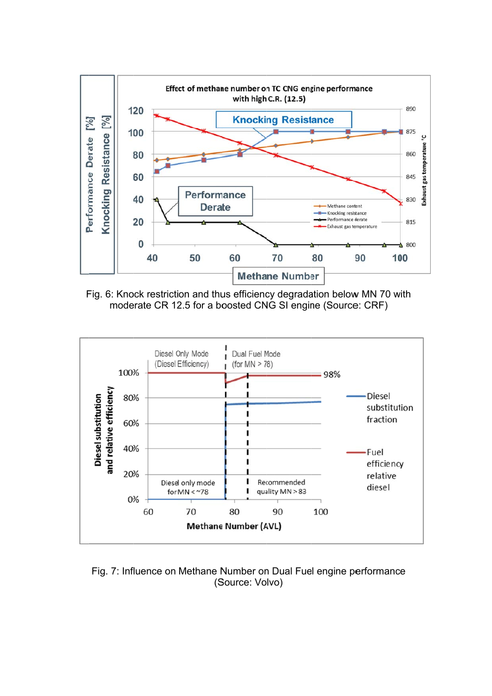

Fig. 6: Knock restriction and thus efficiency degradation below MN 70 with moderate CR 12.5 for a boosted CNG SI engine (Source: CRF)



Fig. 7: Influence on Methane Number on Dual Fuel engine performance (S Source: Vo lvo)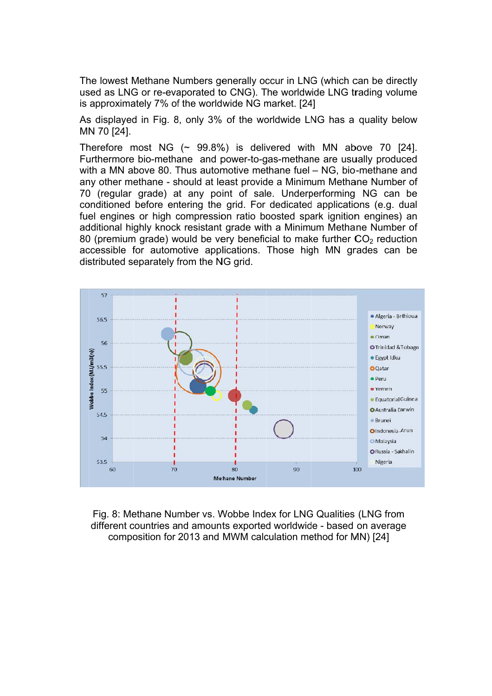The lowest Methane Numbers generally occur in LNG (which can be directly used as LNG or re-evaporated to CNG). The worldwide LNG trading volume is approximately 7% of the worldwide NG market. [24]

As displayed in Fig. 8, only 3% of the worldwide LNG has a quality below MN N 70 [24].

Therefore most NG  $(\sim 99.8\%)$  is delivered with MN above 70 [24]. Furthermore bio-methane and power-to-gas-methane are usually produced with a MN above 80. Thus automotive methane fuel – NG, bio-methane and any other methane - should at least provide a Minimum Methane Number of 70 (regular grade) at any point of sale. Underperforming NG can be conditioned before entering the grid. For dedicated applications (e.g. dual fuel engines or high compression ratio boosted spark ignition engines) an additional highly knock resistant grade with a Minimum Methane Number of 80 (premium grade) would be very beneficial to make further  $CO<sub>2</sub>$  reduction accessible for automotive applications. Those high MN grades can be distributed separately from the NG grid.



Fig. 8: Methane Number vs. Wobbe Index for LNG Qualities (LNG from Fig. 8: Methane Number vs. Wobbe Index for LNG Qualities (LNG from different countries and amounts exported worldwide - based on average composition for 2013 and MWM calculation method for MN) [24]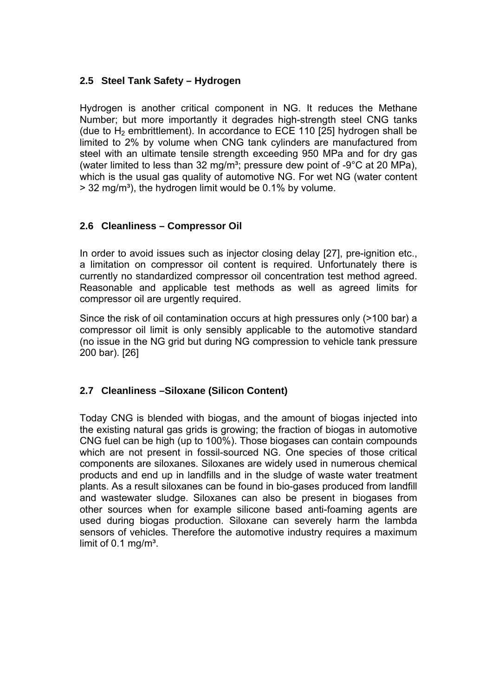## **2.5 Steel Tank Safety – Hydrogen**

Hydrogen is another critical component in NG. It reduces the Methane Number; but more importantly it degrades high-strength steel CNG tanks (due to  $H_2$  embrittlement). In accordance to ECE 110 [25] hydrogen shall be limited to 2% by volume when CNG tank cylinders are manufactured from steel with an ultimate tensile strength exceeding 950 MPa and for dry gas (water limited to less than 32 mg/m<sup>3</sup>; pressure dew point of  $-9^{\circ}$ C at 20 MPa), which is the usual gas quality of automotive NG. For wet NG (water content  $>$  32 mg/m<sup>3</sup>), the hydrogen limit would be 0.1% by volume.

#### **2.6 Cleanliness – Compressor Oil**

In order to avoid issues such as injector closing delay [27], pre-ignition etc., a limitation on compressor oil content is required. Unfortunately there is currently no standardized compressor oil concentration test method agreed. Reasonable and applicable test methods as well as agreed limits for compressor oil are urgently required.

Since the risk of oil contamination occurs at high pressures only (>100 bar) a compressor oil limit is only sensibly applicable to the automotive standard (no issue in the NG grid but during NG compression to vehicle tank pressure 200 bar). [26]

## **2.7 Cleanliness –Siloxane (Silicon Content)**

Today CNG is blended with biogas, and the amount of biogas injected into the existing natural gas grids is growing; the fraction of biogas in automotive CNG fuel can be high (up to 100%). Those biogases can contain compounds which are not present in fossil-sourced NG. One species of those critical components are siloxanes. Siloxanes are widely used in numerous chemical products and end up in landfills and in the sludge of waste water treatment plants. As a result siloxanes can be found in bio-gases produced from landfill and wastewater sludge. Siloxanes can also be present in biogases from other sources when for example silicone based anti-foaming agents are used during biogas production. Siloxane can severely harm the lambda sensors of vehicles. Therefore the automotive industry requires a maximum limit of  $0.1 \text{ mg/m}^3$ .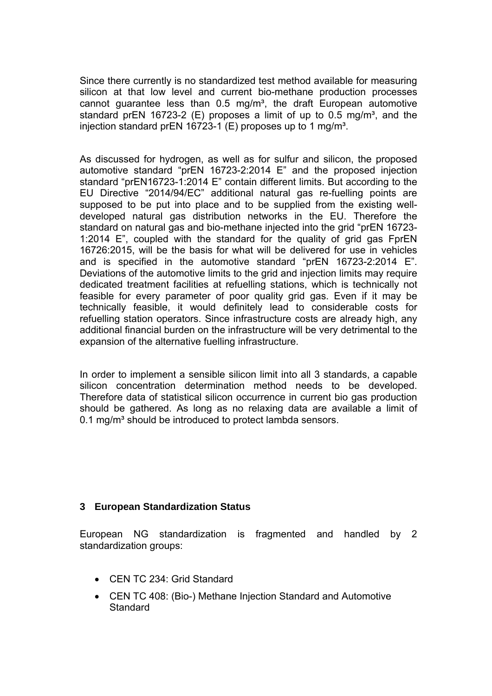Since there currently is no standardized test method available for measuring silicon at that low level and current bio-methane production processes cannot guarantee less than  $0.5 \, \text{mg/m}^3$ , the draft European automotive standard prEN 16723-2 (E) proposes a limit of up to  $0.5$  mg/m<sup>3</sup>, and the injection standard prEN 16723-1 (E) proposes up to 1 mg/m<sup>3</sup>.

As discussed for hydrogen, as well as for sulfur and silicon, the proposed automotive standard "prEN 16723-2:2014 E" and the proposed injection standard "prEN16723-1:2014 E" contain different limits. But according to the EU Directive "2014/94/EC" additional natural gas re-fuelling points are supposed to be put into place and to be supplied from the existing welldeveloped natural gas distribution networks in the EU. Therefore the standard on natural gas and bio-methane injected into the grid "prEN 16723- 1:2014 E", coupled with the standard for the quality of grid gas FprEN 16726:2015, will be the basis for what will be delivered for use in vehicles and is specified in the automotive standard "prEN 16723-2:2014 E". Deviations of the automotive limits to the grid and injection limits may require dedicated treatment facilities at refuelling stations, which is technically not feasible for every parameter of poor quality grid gas. Even if it may be technically feasible, it would definitely lead to considerable costs for refuelling station operators. Since infrastructure costs are already high, any additional financial burden on the infrastructure will be very detrimental to the expansion of the alternative fuelling infrastructure.

In order to implement a sensible silicon limit into all 3 standards, a capable silicon concentration determination method needs to be developed. Therefore data of statistical silicon occurrence in current bio gas production should be gathered. As long as no relaxing data are available a limit of 0.1 mg/m<sup>3</sup> should be introduced to protect lambda sensors.

#### **3 European Standardization Status**

European NG standardization is fragmented and handled by 2 standardization groups:

- CEN TC 234: Grid Standard
- CEN TC 408: (Bio-) Methane Injection Standard and Automotive **Standard**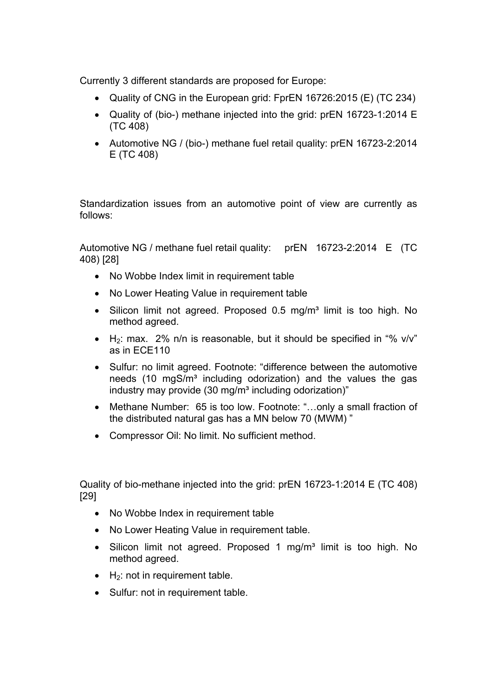Currently 3 different standards are proposed for Europe:

- Quality of CNG in the European grid: FprEN 16726:2015 (E) (TC 234)
- Quality of (bio-) methane injected into the grid: prEN 16723-1:2014 E (TC 408)
- Automotive NG / (bio-) methane fuel retail quality: prEN 16723-2:2014 E (TC 408)

Standardization issues from an automotive point of view are currently as follows:

Automotive NG / methane fuel retail quality: prEN 16723-2:2014 E (TC 408) [28]

- No Wobbe Index limit in requirement table
- No Lower Heating Value in requirement table
- Silicon limit not agreed. Proposed 0.5 mg/m<sup>3</sup> limit is too high. No method agreed.
- $\bullet$  H<sub>2</sub>: max. 2% n/n is reasonable, but it should be specified in "% v/v" as in ECE110
- Sulfur: no limit agreed. Footnote: "difference between the automotive needs (10 mgS/m<sup>3</sup> including odorization) and the values the gas industry may provide  $(30 \text{ mg/m}^3)$  including odorization)"
- Methane Number: 65 is too low. Footnote: "…only a small fraction of the distributed natural gas has a MN below 70 (MWM) "
- Compressor Oil: No limit. No sufficient method.

Quality of bio-methane injected into the grid: prEN 16723-1:2014 E (TC 408) [29]

- No Wobbe Index in requirement table
- No Lower Heating Value in requirement table.
- Silicon limit not agreed. Proposed 1 mg/m<sup>3</sup> limit is too high. No method agreed.
- $\bullet$  H<sub>2</sub>: not in requirement table.
- Sulfur: not in requirement table.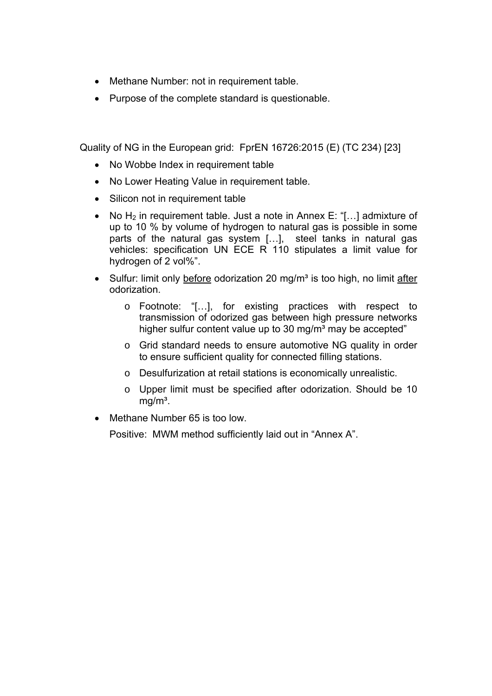- Methane Number: not in requirement table.
- Purpose of the complete standard is questionable.

Quality of NG in the European grid: FprEN 16726:2015 (E) (TC 234) [23]

- No Wobbe Index in requirement table
- No Lower Heating Value in requirement table.
- Silicon not in requirement table
- No  $H_2$  in requirement table. Just a note in Annex E: "[...] admixture of up to 10 % by volume of hydrogen to natural gas is possible in some parts of the natural gas system […], steel tanks in natural gas vehicles: specification UN ECE R 110 stipulates a limit value for hydrogen of 2 vol%".
- Sulfur: limit only before odorization 20 mg/m<sup>3</sup> is too high, no limit after odorization.
	- o Footnote: "[…], for existing practices with respect to transmission of odorized gas between high pressure networks higher sulfur content value up to 30 mg/m<sup>3</sup> may be accepted"
	- o Grid standard needs to ensure automotive NG quality in order to ensure sufficient quality for connected filling stations.
	- o Desulfurization at retail stations is economically unrealistic.
	- o Upper limit must be specified after odorization. Should be 10  $ma/m<sup>3</sup>$ .
- Methane Number 65 is too low.

Positive: MWM method sufficiently laid out in "Annex A".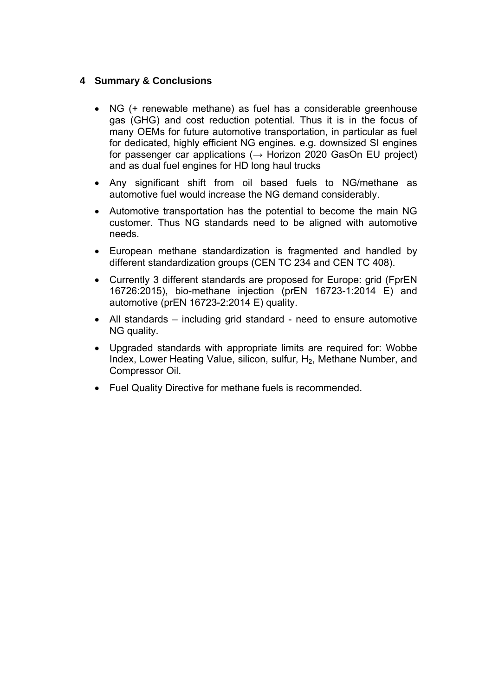## **4 Summary & Conclusions**

- NG (+ renewable methane) as fuel has a considerable greenhouse gas (GHG) and cost reduction potential. Thus it is in the focus of many OEMs for future automotive transportation, in particular as fuel for dedicated, highly efficient NG engines. e.g. downsized SI engines for passenger car applications ( $\rightarrow$  Horizon 2020 GasOn EU project) and as dual fuel engines for HD long haul trucks
- Any significant shift from oil based fuels to NG/methane as automotive fuel would increase the NG demand considerably.
- Automotive transportation has the potential to become the main NG customer. Thus NG standards need to be aligned with automotive needs.
- European methane standardization is fragmented and handled by different standardization groups (CEN TC 234 and CEN TC 408).
- Currently 3 different standards are proposed for Europe: grid (FprEN 16726:2015), bio-methane injection (prEN 16723-1:2014 E) and automotive (prEN 16723-2:2014 E) quality.
- All standards including grid standard need to ensure automotive NG quality.
- Upgraded standards with appropriate limits are required for: Wobbe Index, Lower Heating Value, silicon, sulfur, H<sub>2</sub>, Methane Number, and Compressor Oil.
- Fuel Quality Directive for methane fuels is recommended.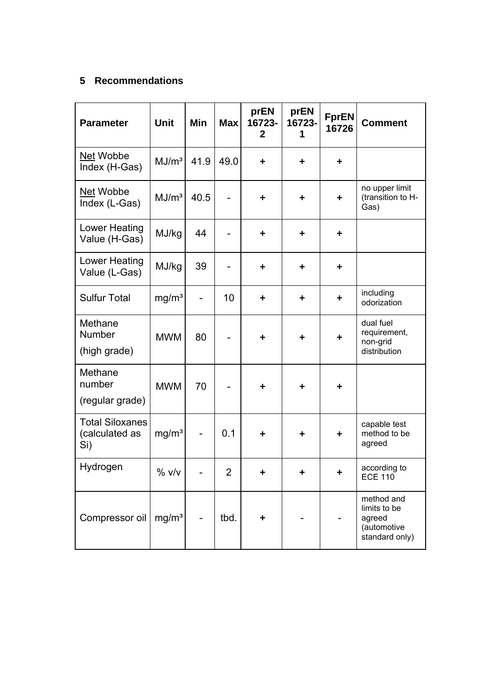## **5 Recommendations**

| <b>Parameter</b>                                | <b>Unit</b>       | Min                      | <b>Max</b>               | prEN<br>16723-<br>$\mathbf{2}$ | prEN<br>16723-<br>1 | <b>FprEN</b><br>16726 | <b>Comment</b>                                                        |
|-------------------------------------------------|-------------------|--------------------------|--------------------------|--------------------------------|---------------------|-----------------------|-----------------------------------------------------------------------|
| Net Wobbe<br>Index (H-Gas)                      | MJ/m <sup>3</sup> | 41.9                     | 49.0                     | ٠                              | ٠                   | ٠                     |                                                                       |
| Net Wobbe<br>Index (L-Gas)                      | MJ/m <sup>3</sup> | 40.5                     |                          | $\ddot{\phantom{1}}$           | $\ddot{}$           | $\ddot{\phantom{1}}$  | no upper limit<br>(transition to H-<br>Gas)                           |
| Lower Heating<br>Value (H-Gas)                  | MJ/kg             | 44                       | $\overline{\phantom{0}}$ | ٠                              | ٠                   | ٠                     |                                                                       |
| Lower Heating<br>Value (L-Gas)                  | MJ/kg             | 39                       |                          | $\ddagger$                     | $\ddot{}$           | ٠                     |                                                                       |
| <b>Sulfur Total</b>                             | mg/m <sup>3</sup> | $\overline{\phantom{0}}$ | 10                       | $\ddot{\phantom{1}}$           | ÷                   | $\ddot{\phantom{1}}$  | including<br>odorization                                              |
| Methane<br><b>Number</b><br>(high grade)        | <b>MWM</b>        | 80                       |                          | ÷                              | ÷                   | $\ddot{\phantom{1}}$  | dual fuel<br>requirement,<br>non-grid<br>distribution                 |
| Methane<br>number<br>(regular grade)            | <b>MWM</b>        | 70                       |                          | ٠                              | ÷                   | $\ddot{\phantom{1}}$  |                                                                       |
| <b>Total Siloxanes</b><br>(calculated as<br>Si) | mg/m <sup>3</sup> |                          | 0.1                      | ٠                              | ٠                   | ٠                     | capable test<br>method to be<br>agreed                                |
| Hydrogen                                        | % v/v             |                          | $\overline{2}$           |                                |                     |                       | according to<br><b>ECE 110</b>                                        |
| Compressor oil                                  | mg/m <sup>3</sup> |                          | tbd.                     |                                |                     |                       | method and<br>limits to be<br>agreed<br>(automotive<br>standard only) |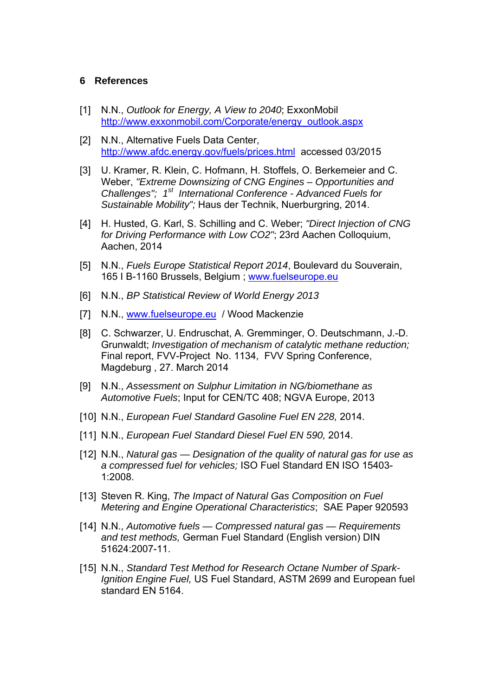#### **6 References**

- [1] N.N., *Outlook for Energy, A View to 2040*; ExxonMobil http://www.exxonmobil.com/Corporate/energy\_outlook.aspx
- [2] N.N., Alternative Fuels Data Center. http://www.afdc.energy.gov/fuels/prices.html accessed 03/2015
- [3] U. Kramer, R. Klein, C. Hofmann, H. Stoffels, O. Berkemeier and C. Weber, *"Extreme Downsizing of CNG Engines – Opportunities and*  Challenges"; 1<sup>st</sup> International Conference - Advanced Fuels for *Sustainable Mobility";* Haus der Technik, Nuerburgring, 2014.
- [4] H. Husted, G. Karl, S. Schilling and C. Weber; *"Direct Injection of CNG for Driving Performance with Low CO2"*; 23rd Aachen Colloquium, Aachen, 2014
- [5] N.N., *Fuels Europe Statistical Report 2014*, Boulevard du Souverain, 165 I B-1160 Brussels, Belgium ; www.fuelseurope.eu
- [6] N.N., *BP Statistical Review of World Energy 2013*
- [7] N.N., www.fuelseurope.eu / Wood Mackenzie
- [8] C. Schwarzer, U. Endruschat, A. Gremminger, O. Deutschmann, J.-D. Grunwaldt; *Investigation of mechanism of catalytic methane reduction;* Final report, FVV-Project No. 1134, FVV Spring Conference, Magdeburg , 27. March 2014
- [9] N.N., *Assessment on Sulphur Limitation in NG/biomethane as Automotive Fuels*; Input for CEN/TC 408; NGVA Europe, 2013
- [10] N.N., *European Fuel Standard Gasoline Fuel EN 228,* 2014.
- [11] N.N., *European Fuel Standard Diesel Fuel EN 590,* 2014.
- [12] N.N., *Natural gas Designation of the quality of natural gas for use as a compressed fuel for vehicles;* ISO Fuel Standard EN ISO 15403- 1:2008.
- [13] Steven R. King, *The Impact of Natural Gas Composition on Fuel Metering and Engine Operational Characteristics*; SAE Paper 920593
- [14] N.N., *Automotive fuels Compressed natural gas Requirements and test methods,* German Fuel Standard (English version) DIN 51624:2007-11.
- [15] N.N., *Standard Test Method for Research Octane Number of Spark-Ignition Engine Fuel,* US Fuel Standard, ASTM 2699 and European fuel standard EN 5164.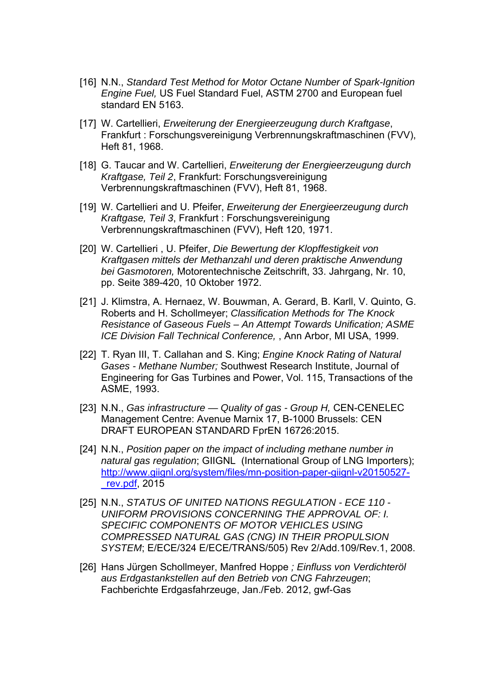- [16] N.N., *Standard Test Method for Motor Octane Number of Spark-Ignition Engine Fuel,* US Fuel Standard Fuel, ASTM 2700 and European fuel standard EN 5163.
- [17] W. Cartellieri, *Erweiterung der Energieerzeugung durch Kraftgase*, Frankfurt : Forschungsvereinigung Verbrennungskraftmaschinen (FVV), Heft 81, 1968.
- [18] G. Taucar and W. Cartellieri, *Erweiterung der Energieerzeugung durch Kraftgase, Teil 2*, Frankfurt: Forschungsvereinigung Verbrennungskraftmaschinen (FVV), Heft 81, 1968.
- [19] W. Cartellieri and U. Pfeifer, *Erweiterung der Energieerzeugung durch Kraftgase, Teil 3*, Frankfurt : Forschungsvereinigung Verbrennungskraftmaschinen (FVV), Heft 120, 1971.
- [20] W. Cartellieri , U. Pfeifer, *Die Bewertung der Klopffestigkeit von Kraftgasen mittels der Methanzahl und deren praktische Anwendung bei Gasmotoren,* Motorentechnische Zeitschrift, 33. Jahrgang, Nr. 10, pp. Seite 389-420, 10 Oktober 1972.
- [21] J. Klimstra, A. Hernaez, W. Bouwman, A. Gerard, B. Karll, V. Quinto, G. Roberts and H. Schollmeyer; *Classification Methods for The Knock Resistance of Gaseous Fuels – An Attempt Towards Unification; ASME ICE Division Fall Technical Conference,* , Ann Arbor, MI USA, 1999.
- [22] T. Ryan III, T. Callahan and S. King; *Engine Knock Rating of Natural Gases - Methane Number;* Southwest Research Institute, Journal of Engineering for Gas Turbines and Power, Vol. 115, Transactions of the ASME, 1993.
- [23] N.N., *Gas infrastructure Quality of gas Group H, CEN-CENELEC* Management Centre: Avenue Marnix 17, B-1000 Brussels: CEN DRAFT EUROPEAN STANDARD FprEN 16726:2015.
- [24] N.N., *Position paper on the impact of including methane number in natural gas regulation*; GIIGNL (International Group of LNG Importers); http://www.giignl.org/system/files/mn-position-paper-giignl-v20150527- \_rev.pdf, 2015
- [25] N.N., *STATUS OF UNITED NATIONS REGULATION ECE 110 UNIFORM PROVISIONS CONCERNING THE APPROVAL OF: I. SPECIFIC COMPONENTS OF MOTOR VEHICLES USING COMPRESSED NATURAL GAS (CNG) IN THEIR PROPULSION SYSTEM*; E/ECE/324 E/ECE/TRANS/505) Rev 2/Add.109/Rev.1, 2008.
- [26] Hans Jürgen Schollmeyer, Manfred Hoppe *; Einfluss von Verdichteröl aus Erdgastankstellen auf den Betrieb von CNG Fahrzeugen*; Fachberichte Erdgasfahrzeuge, Jan./Feb. 2012, gwf-Gas